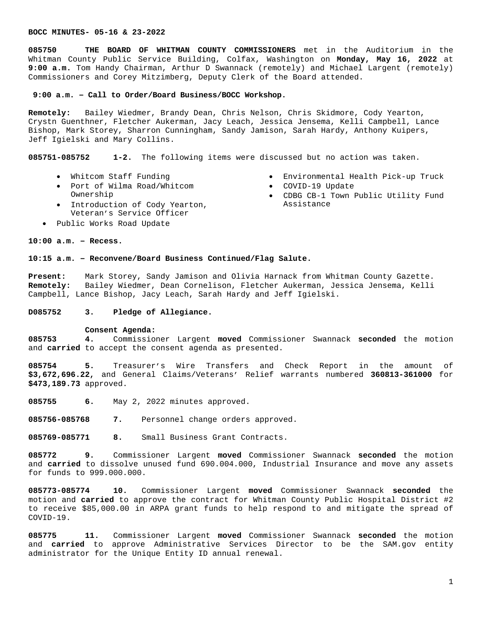**085750 THE BOARD OF WHITMAN COUNTY COMMISSIONERS** met in the Auditorium in the Whitman County Public Service Building, Colfax, Washington on **Monday, May 16, 2022** at **9:00 a.m.** Tom Handy Chairman, Arthur D Swannack (remotely) and Michael Largent (remotely) Commissioners and Corey Mitzimberg, Deputy Clerk of the Board attended.

### **9:00 a.m. – Call to Order/Board Business/BOCC Workshop.**

**Remotely:** Bailey Wiedmer, Brandy Dean, Chris Nelson, Chris Skidmore, Cody Yearton, Crystn Guenthner, Fletcher Aukerman, Jacy Leach, Jessica Jensema, Kelli Campbell, Lance Bishop, Mark Storey, Sharron Cunningham, Sandy Jamison, Sarah Hardy, Anthony Kuipers, Jeff Igielski and Mary Collins.

**085751-085752 1-2.** The following items were discussed but no action was taken.

- Whitcom Staff Funding
- Port of Wilma Road/Whitcom Ownership
- Introduction of Cody Yearton, Veteran's Service Officer
- Public Works Road Update

# **10:00 a.m. – Recess.**

# **10:15 a.m. – Reconvene/Board Business Continued/Flag Salute.**

**Present:** Mark Storey, Sandy Jamison and Olivia Harnack from Whitman County Gazette. **Remotely:** Bailey Wiedmer, Dean Cornelison, Fletcher Aukerman, Jessica Jensema, Kelli Campbell, Lance Bishop, Jacy Leach, Sarah Hardy and Jeff Igielski.

**D085752 3. Pledge of Allegiance.**

#### **Consent Agenda:**

**085753 4.** Commissioner Largent **moved** Commissioner Swannack **seconded** the motion and **carried** to accept the consent agenda as presented.

**085754 5.** Treasurer's Wire Transfers and Check Report in the amount of **\$3,672,696.22,** and General Claims/Veterans' Relief warrants numbered **360813-361000** for **\$473,189.73** approved.

**085755 6.** May 2, 2022 minutes approved.

**085756-085768 7.** Personnel change orders approved.

**085769-085771 8.** Small Business Grant Contracts.

**085772 9.** Commissioner Largent **moved** Commissioner Swannack **seconded** the motion and **carried** to dissolve unused fund 690.004.000, Industrial Insurance and move any assets for funds to 999.000.000.

**085773-085774 10.** Commissioner Largent **moved** Commissioner Swannack **seconded** the motion and **carried** to approve the contract for Whitman County Public Hospital District #2 to receive \$85,000.00 in ARPA grant funds to help respond to and mitigate the spread of COVID-19.

**085775 11.** Commissioner Largent **moved** Commissioner Swannack **seconded** the motion and **carried** to approve Administrative Services Director to be the SAM.gov entity administrator for the Unique Entity ID annual renewal.

- Environmental Health Pick-up Truck
- COVID-19 Update
- CDBG CB-1 Town Public Utility Fund Assistance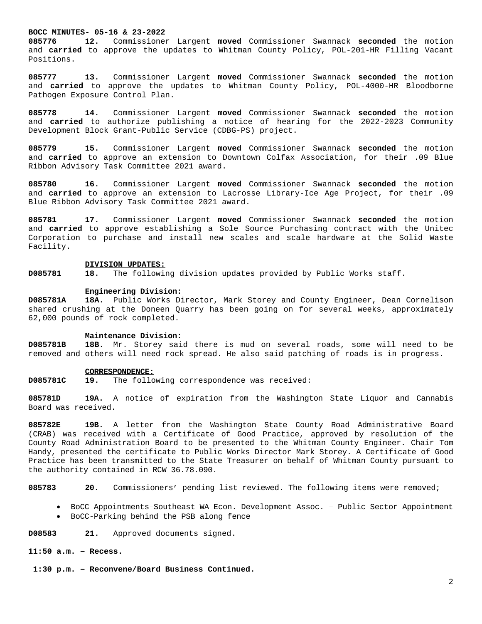**085776 12.** Commissioner Largent **moved** Commissioner Swannack **seconded** the motion and **carried** to approve the updates to Whitman County Policy, POL-201-HR Filling Vacant Positions.

**085777 13.** Commissioner Largent **moved** Commissioner Swannack **seconded** the motion and **carried** to approve the updates to Whitman County Policy, POL-4000-HR Bloodborne Pathogen Exposure Control Plan.

**085778 14.** Commissioner Largent **moved** Commissioner Swannack **seconded** the motion and **carried** to authorize publishing a notice of hearing for the 2022-2023 Community Development Block Grant-Public Service (CDBG-PS) project.

**085779 15.** Commissioner Largent **moved** Commissioner Swannack **seconded** the motion and **carried** to approve an extension to Downtown Colfax Association, for their .09 Blue Ribbon Advisory Task Committee 2021 award.

**085780 16.** Commissioner Largent **moved** Commissioner Swannack **seconded** the motion and **carried** to approve an extension to Lacrosse Library-Ice Age Project, for their .09 Blue Ribbon Advisory Task Committee 2021 award.

**085781 17.** Commissioner Largent **moved** Commissioner Swannack **seconded** the motion and **carried** to approve establishing a Sole Source Purchasing contract with the Unitec Corporation to purchase and install new scales and scale hardware at the Solid Waste Facility.

## **DIVISION UPDATES:**

**D085781 18.** The following division updates provided by Public Works staff.

## **Engineering Division:**

**D085781A 18A.** Public Works Director, Mark Storey and County Engineer, Dean Cornelison shared crushing at the Doneen Quarry has been going on for several weeks, approximately 62,000 pounds of rock completed.

#### **Maintenance Division:**

**D085781B 18B.** Mr. Storey said there is mud on several roads, some will need to be removed and others will need rock spread. He also said patching of roads is in progress.

# **CORRESPONDENCE:**

**D085781C 19.** The following correspondence was received:

**085781D 19A.** A notice of expiration from the Washington State Liquor and Cannabis Board was received.

**085782E 19B.** A letter from the Washington State County Road Administrative Board (CRAB) was received with a Certificate of Good Practice, approved by resolution of the County Road Administration Board to be presented to the Whitman County Engineer. Chair Tom Handy, presented the certificate to Public Works Director Mark Storey. A Certificate of Good Practice has been transmitted to the State Treasurer on behalf of Whitman County pursuant to the authority contained in RCW 36.78.090.

**085783 20.** Commissioners' pending list reviewed. The following items were removed;

- BoCC Appointments–Southeast WA Econ. Development Assoc. Public Sector Appointment
- BoCC-Parking behind the PSB along fence

**D08583 21.** Approved documents signed.

## **11:50 a.m. – Recess.**

 **1:30 p.m. – Reconvene/Board Business Continued.**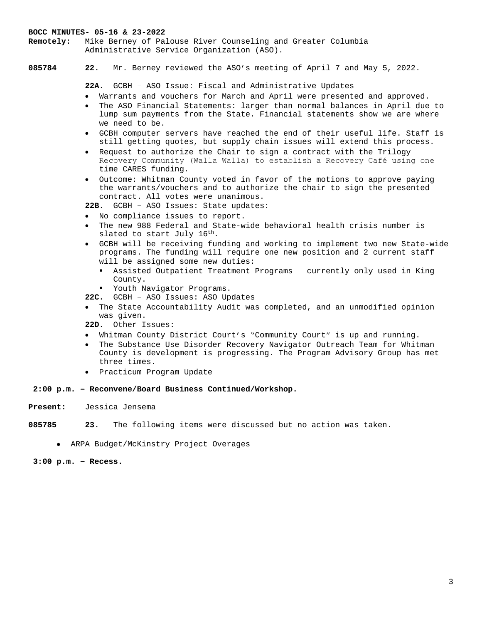**Remotely:** Mike Berney of Palouse River Counseling and Greater Columbia Administrative Service Organization (ASO).

**085784 22.** Mr. Berney reviewed the ASO's meeting of April 7 and May 5, 2022.

**22A.** GCBH – ASO Issue: Fiscal and Administrative Updates

- Warrants and vouchers for March and April were presented and approved.
- The ASO Financial Statements: larger than normal balances in April due to lump sum payments from the State. Financial statements show we are where we need to be.
- GCBH computer servers have reached the end of their useful life. Staff is still getting quotes, but supply chain issues will extend this process.
- Request to authorize the Chair to sign a contract with the Trilogy Recovery Community (Walla Walla) to establish a Recovery Café using one time CARES funding.
- Outcome: Whitman County voted in favor of the motions to approve paying the warrants/vouchers and to authorize the chair to sign the presented contract. All votes were unanimous.
- **22B.** GCBH ASO Issues: State updates:
- No compliance issues to report.
- The new 988 Federal and State-wide behavioral health crisis number is slated to start July 16<sup>th</sup>.
- GCBH will be receiving funding and working to implement two new State-wide programs. The funding will require one new position and 2 current staff will be assigned some new duties:
	- Assisted Outpatient Treatment Programs currently only used in King County.
	- Youth Navigator Programs.
- **22C.** GCBH ASO Issues: ASO Updates
- The State Accountability Audit was completed, and an unmodified opinion was given.

**22D.** Other Issues:

- Whitman County District Court's "Community Court" is up and running.
- The Substance Use Disorder Recovery Navigator Outreach Team for Whitman County is development is progressing. The Program Advisory Group has met three times.
- Practicum Program Update

## **2:00 p.m. – Reconvene/Board Business Continued/Workshop.**

**Present:** Jessica Jensema

**085785 23.** The following items were discussed but no action was taken.

ARPA Budget/McKinstry Project Overages

**3:00 p.m. – Recess.**